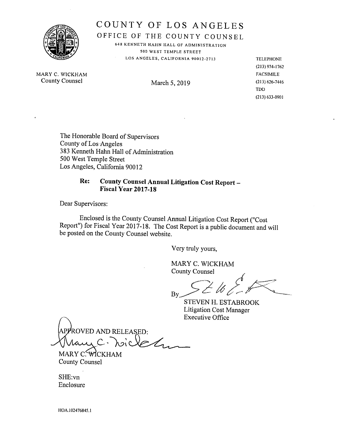

COUNTY OF LOS ANGELES

OFFICE OF THE COUNTY COUNSEL 648 KENNETH HAHN HALL OF ADMINISTRATION

500 WEST TEMPLE STREET LOS ANGELES, CALIFORNIA 90012-2713 TELEPHONE

(213) 974-1762 TDD (2(3) 633-0901

MARY C. WICKHAM FACSIMILE County Counsel March 5, 2019 (213) 626-7446

<sup>T</sup>he Honorable Board of Supervisors County of Los Angeles 383 Kenneth Hahn Hall of Administration 500 West Temple Street Los Angeles, California 90012

# <sup>R</sup>e: County Counsel Annual Litigation Cost Report — Fiscal Year 2017-18

Dear Supervisors:

<sup>E</sup>nclosed is the County Counsel Annual Litigation Cost Report ("Cost <sup>R</sup>eport") for Fiscal Year 2017-18. The Cost Report is a public document and will be posted on the County Counsel website.

Very truly yours,

MARY C. WICKHAM County Counsel

 $By \sim \sim \omega$ 

STEVEN H. ESTABROOK <sup>L</sup>itigation Cost Manager Executive Office

APPROVED AND RELEASED: chu  $C^*$  101

MARY C. WICKHAM County Counsel

SHE:vn Enclosure

HOA.102476845.1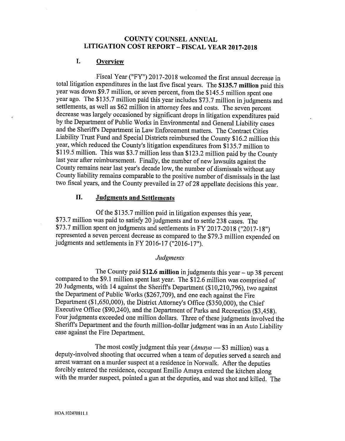# COUNTY COUNSEL ANNUAL <sup>L</sup>ITIGATION COST REPORT —FISCAL YEAR 2017-2018

# I. Overview

<sup>F</sup>iscal Year ("FY") 2017-2018 welcomed the first annual decrease in total litigation expenditures in the last five fiscal years. The \$135.7 million paid this <sup>y</sup>ear was down \$9.7 million, or seven percent, from the \$145.5 million spent one <sup>y</sup>ear ago. The \$135.7 million paid this year includes \$73.7 million in judgments and <sup>s</sup>ettlements, as well as \$62 million in attorney fees and costs. The seven percent decrease was largely occasioned by significant drops in litigation expenditures paid <sup>b</sup>y the Department of Public Works in Environmental and General Liability cases and the Sheriffs Department in Law Enforcement matters. The Contract Cities <sup>L</sup>iability Trust Fund and Special Districts reimbursed the County \$16.2 million this <sup>y</sup>ear, which reduced the County's litigation expenditures from \$135.7 million to \$119.5 million. This was \$3.7 million less than \$123.2 million paid by the County last year after reimbursement. Finally, the number of new lawsuits against the <sup>C</sup>ounty remains neaz last year's decade low, the number of dismissals without an<sup>y</sup> <sup>C</sup>ounty liability remains comparable to the positive number of dismissals in the last <sup>t</sup>wo fiscal years, and the County prevailed in 27 of 28 appellate decisions this year.

# II. Judgments and Settlements

<sup>O</sup>f the \$135.7 million paid in litigation expenses this year, \$73.7 million was paid to satisfy 20 judgments and to settle 238 cases. The \$73.7 million spent on judgments and settlements in FY 2017-2018 ("2017-18") <sup>r</sup>epresented <sup>a</sup>seven percent decrease as compared to the \$793 million expended on judgments and settlements in FY 2016-17 ("2016-17").

#### Judgments

The County paid  $$12.6$  million in judgments this year - up 38 percent <sup>c</sup>ompared to the \$9.1 million spent last year. The \$12.6 million was comprised of <sup>2</sup>0 Judgments, with 14 against the Sheriffs Department (\$10,210,796), two against <sup>t</sup>he Department of Public Works (\$267,709), and one each against the Fire <sup>D</sup>epartment (\$1,650,000), the District Attorney's Office (\$350,000), the Chief <sup>E</sup>xecutive Office (\$90,240), and the Department of Parks and Recreation (\$3,458). <sup>F</sup>our judgments exceeded one million dollazs. Three of these judgments involved the <sup>S</sup>heriffs Department and the fourth million-dollar judgment was in an Auto Liability <sup>c</sup>ase against the Fire Department.

The most costly judgment this year  $(Amaya - $3$  million) was a <sup>d</sup>eputy-involved shooting that occurred when a team of deputies served a search and <sup>a</sup>rrest warrant on a murder suspect at a residence in Norwalk. After the deputies <sup>f</sup>orcibly entered the residence, occupant Emilio Amaya entered the kitchen along with the murder suspect, pointed a gun at the deputies, and was shot and killed. The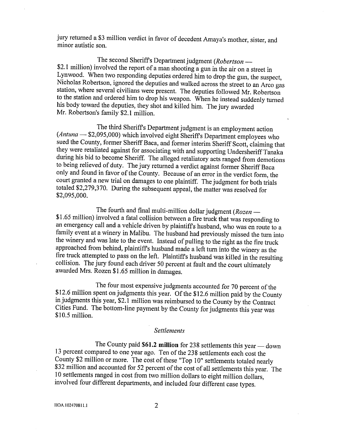jury returned a \$3 million verdict in favor of decedent Amaya's mother, sister, and <sup>m</sup>inor autistic son.

<sup>T</sup>he second SherifFs Department judgment (Robertson — \$2.1 million) involved the report of a man shooting a gun in the air on a street in <sup>L</sup>ynwood. When two responding deputies ordered him to drop the gun, the suspect, <sup>N</sup>icholas Robertson, ignored the deputies and walked across the street to an Arco gas <sup>s</sup>tation, where several civilians were present. The deputies followed Mr. Robertson <sup>t</sup>o the station and ordered him to drop his weapon. When he instead suddenly turned <sup>h</sup>is body towazd the deputies, they shot and killed him. The jury awazded <sup>M</sup>r. Robertson's family \$2.1 million.

<sup>T</sup>he third Sheriffs Department judgment is an employment action (Antuna — \$2,095,000) which involved eight Sheriffs Department employees who <sup>s</sup>ued the County, former Sheriff Baca, and former interim Sheriff Scott, claiming that <sup>t</sup>hey were retaliated against for associating with and supporting Undersheriff Tanaka during his bid to become Sheriff. The alleged retaliatory acts ranged from demotions <sup>t</sup>o being relieved of duty. The jury returned a verdict against Former Sheriff Baca <sup>o</sup>nly and found in favor of the County. Because of an error in the verdict form, the <sup>c</sup>ourt granted <sup>a</sup>new trial on damages to one plaintiff. The judgment for both trials <sup>t</sup>otaled \$2,279,370. During the subsequent appeal, the matter was resolved for \$2,095,000.

The fourth and final multi-million dollar judgment ( $Rozen$  — \$1.65 million) involved a fatal collision between a fire truck that was responding to <sup>a</sup><sup>n</sup>emergency call and a vehicle driven by plaintiffs husband, who was en route to <sup>a</sup> <sup>f</sup>amily event at a winery in Malibu. The husband had previously missed the turn into the winery and was late to the event. Instead of pulling to the right as the fire truck <sup>a</sup>pproached from behind, plaintiffs husband made a left turn into the winery as the fire truck attempted to pass on the left. Plaintiff's husband was killed in the resulting <sup>c</sup>ollision. The jury found each driver 50 percent at fault and the court ultimately <sup>a</sup>warded Mrs. Rozen \$1.65 million in damages.

<sup>T</sup>he four most expensive judgments accounted for 70 percent of the \$12.6 million spent on judgments this year. Of the \$12.6 million paid by the County <sup>i</sup>n judgments this year, \$2.1 million was reimbursed to the County by the Contract <sup>C</sup>ities Fund. The bottom-line payment by the County for judgments this year was \$10.5 million.

#### Settlements

The County paid  $$61.2$  million for 238 settlements this year — down <sup>1</sup>3 percent compared to one year ago. Ten of the 238 settlements each cost the <sup>C</sup>ounty \$2 million or more. The cost of these "Top 10" settlements totaled nearly \$32 million and accounted for 52 percent of the cost of all settlements this year. The <sup>1</sup>0 settlements ranged in cost from two million dollars to eight million dollazs, <sup>i</sup>nvolved four different departments, and included four different case types.

HOA.102470811.1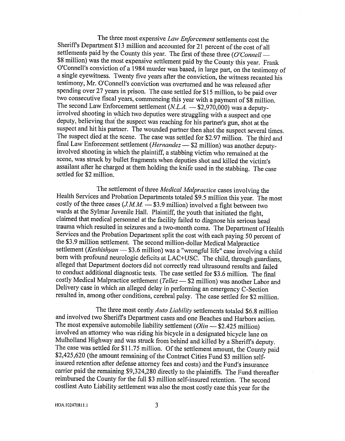The three most expensive Law Enforcement settlements cost the <sup>S</sup>heriffs Departrnent \$13 million and accounted for 21 percent of the cost of all settlements paid by the County this year. The first of these three  $(O'Connell$ \$8 million) was the most expensive settlement paid by the County this year. Frank <sup>O</sup>'Connell's conviction of a 1984 murder was based, in large part, on the testimony of <sup>a</sup> single eyewitness. Twenty five years after the conviction, the witness recanted his <sup>t</sup>estimony, Mr. O'Connell's conviction was overturned and he was released after spending over 27 years in prison. The case settled for \$15 million, to be paid over <sup>t</sup>wo consecutive fiscal years, commencing this year with a payment of \$8 million. The second Law Enforcement settlement  $(N.L.A. - $2,970,000)$  was a deputyinvolved shooting in which two deputies were struggling with a suspect and one <sup>d</sup>eputy, believing that the suspect was reaching for his partner's gun, shot at the <sup>s</sup>uspect and hit his partner. The wounded partner then shot the suspect several times. <sup>T</sup>he suspect died at the scene. The case was settled for \$2.97 million. The third an<sup>d</sup> <sup>f</sup>inal Law Enforcement settlement (Hernandez — \$2 million) was another deputyinvolved shooting in which the plaintiff, a stabbing victim who remained at the <sup>s</sup>cene, was struck by bullet fragments when deputies shot and killed the victim's <sup>a</sup>ssailant after he chazged at them holding the knife used in the stabbing. The case <sup>s</sup>ettled for \$2 million.

<sup>T</sup>he settlement of three Medical Malpractice cases involving the Health Services and Probation Departments totaled \$9.5 million this year. The most costly of the three cases  $(J.M.M. \stackrel{\cdot}{\longrightarrow} $3.9$  million) involved a fight between two <sup>w</sup>ards at the Sylmar Juvenile Hall. Plaintiff, the youth that initiated the fight, claimed that medical personnel at the facility failed to diagnose his serious head trauma which resulted in seizures and a two-month coma. The Department of Health <sup>S</sup>ervices and the Probation Department split the cost with each paying 50 percent of <sup>t</sup>he \$3.9 million settlement. The second million-dollar Medical Malpractice settlement (Keshishyan - \$3.6 million) was a "wrongful life" case involving a child born with profound neurologic deficits at LAC+USC. The child, through guardians, <sup>a</sup>lleged that Department doctors did not correctly read ultrasound results and failed <sup>t</sup>o conduct additional diagnostic tests. The case settled for \$3.6 million. The final costly Medical Malpractice settlement (Tellez - \$2 million) was another Labor and <sup>D</sup>elivery case in which an alleged delay in performing an emergency C-Section <sup>r</sup>esulted in, among other conditions, cerebral palsy. The case settled for \$2 million.

<sup>T</sup>he three most costly Auto Liability settlements totaled \$6.8 million and involved two Sheriffs Department cases and one Beaches and Harbors action. The most expensive automobile liability settlement  $(Olin - $2.425$  million) <sup>i</sup>nvolved an attorney who was riding his bicycle in a designated bicycle lane on <sup>M</sup>ulholland Highway and was struck from behind and killed by a Sheriffs deputy. <sup>T</sup>he case was settled for \$11.75 million. Of the settlement amount, the County paid \$2,425,620 (the amount remaining of the Contract Cities Fund \$3 million selfinsured retention after defense attorney fees and costs) and the Fund's insurance <sup>c</sup>arrier paid the remaining \$9,324,280 directly to the plaintiffs. The Fund thereafter <sup>r</sup>eimbursed the County for the full \$3 million self-insured retention. The second <sup>c</sup>ostliest Auto Liability settlement was also the most costly case this year for the

<sup>H</sup>OA.102470811.1 3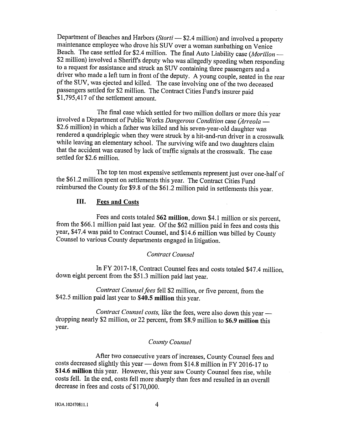Department of Beaches and Harbors (Storti — \$2.4 million) and involved a property <sup>m</sup>aintenance employee who drove his SUV over a woman sunbathing on Venice <sup>B</sup>each. The case settled for \$2.4 million. The final Auto Liability case (Morillon — \$2 million) involved a Sheriffs deputy who was allegedly speeding when responding to a request for assistance and struck an SUV containing three passengers and a driver who made a left turn in front of the deputy. A young couple, seated in the rear <sup>o</sup>f the SUV, was ejected and killed. The case involving one of the two deceased <sup>p</sup>assengers settled for \$2 million. The Contract Cities Fund's insurer paid \$1,795,417 of the settlement amount.

<sup>T</sup>he final case which settled for two million dollars or more this yeaz involved a Department of Public Works Dangerous Condition case (Arreola -\$2.6 million) in which a father was killed and his seven-year-old daughter was <sup>r</sup>endered a quadriplegic when they were struck by ahit-and-run driver in a crosswalk <sup>w</sup>hile leaving an elementary school. The surviving wife and two daughters claim <sup>t</sup>hat the accident was caused by lack of traffic signals at the crosswalk. The case <sup>s</sup>ettled for \$2.6 million.

<sup>T</sup>he top ten most expensive settlements represent just over one-half of <sup>t</sup>he \$61.2 million spent on settlements this year. The Contract Cities Fund <sup>r</sup>eimbursed the County for \$9.8 of the \$61.2 million paid in settlements this year.

## III. Fees and Costs

<sup>F</sup>ees and costs totaled \$G2 million, down \$41 million or six percent, from the \$66.1 million paid last year. Of the \$62 million paid in fees and costs this <sup>y</sup>ear, \$47.4 was paid to Contract Counsel, and \$14.6 million was billed by County Counsel to various County departments engaged in litigation.

### Contract Counsel

<sup>I</sup>n FY 2017-18, Contract Counsel fees and costs totaled \$47.4 million, <sup>d</sup>own eight percent from the \$51.3 million paid last yeaz.

<sup>C</sup>ontract Counsel fees fell \$2 million, or five percent, from the \$42.5 million paid last year to \$40.5 million this yeaz.

<sup>C</sup>ontract Counsel costs, like the fees, were also down this yeaz dropping nearly \$2 million, or 22 percent, from \$8.9 million to \$6.9 million this year.

### County Counsel

After two consecutive years of increases, County Counsel fees and costs decreased slightly this year — down from \$14.8 million in FY 2016-17 to \$14.6 million this year. However, this year saw County Counsel fees rise, while <sup>c</sup>osts fe1L In the end, costs fell more sharply than fees and resulted in an overall decrease in fees and costs of \$170,000.

HOA.I02470611. t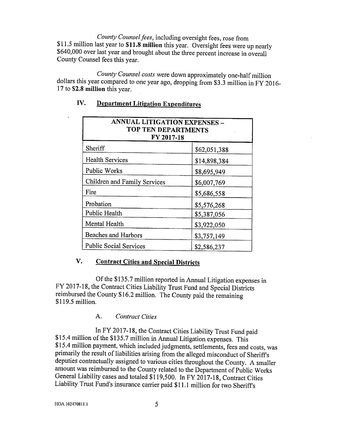County Counsel fees, including oversight fees, rose from \$11.5 million last year to \$11.8 million this year. Oversight fees were up nearly \$640,000 over last year and brought about the three percent increase in overall <sup>C</sup>ounty Counsel fees this year.

<sup>C</sup>ounty Counsel costs were down approximately one-half million <sup>d</sup>ollars this year compared to one yeaz ago, dropping from \$3.3 million in FY 2016- 17 to \$2.8 million this year.

| ANNUAL LITIGATION EXPENSES -<br>TOP TEN DEPARTMENTS<br>FY 2017-18 |              |
|-------------------------------------------------------------------|--------------|
| Sheriff                                                           | \$62,051,388 |
| <b>Health Services</b>                                            | \$14,898,384 |
| Public Works                                                      | \$8,695,949  |
| Children and Family Services                                      | \$6,007,769  |
| Fire                                                              | \$5,686,558  |
| Probation                                                         | \$5,576,268  |
| Public Health                                                     | \$5,387,056  |
| Mental Health                                                     | \$3,922,050  |
| <b>Beaches and Harbors</b>                                        | \$3,757,149  |
| <b>Public Social Services</b>                                     | \$2,586,237  |

# IV. Department Litigation Expenditures

# <sup>V</sup>. Contract Cities and Special Districts

<sup>O</sup>f the \$135.7 million reported in Annual Litigation expenses in <sup>F</sup>Y 2017-18, the Contract Cities Liability Trust Fund and Special Districts <sup>r</sup>eimbursed the County \$16.2 million. The County paid the remaining \$119.5 million.

## A. Contract Cities

<sup>I</sup>n FY 2017-18, the Contract Cities Liability Trust Fund paid \$15.4 million of the \$135.7 million in Annual Litigation expenses. This \$15.4 million payment, which included judgments, settlements, fees and costs, was <sup>p</sup>rimazily the result of liabilities arising from the alleged misconduct of SherifFs <sup>d</sup>eputies contractually assigned to various cities throughout the County. A smaller <sup>a</sup>mount was reimbursed to the County related to the Department of Public Works <sup>G</sup>eneral Liability cases and totaled \$119,500. In FY 2017-18, Contract Cities <sup>L</sup>iability Trust Fund's insurance carrier paid \$11.1 million for two Sheriffs

HOA.102470811.1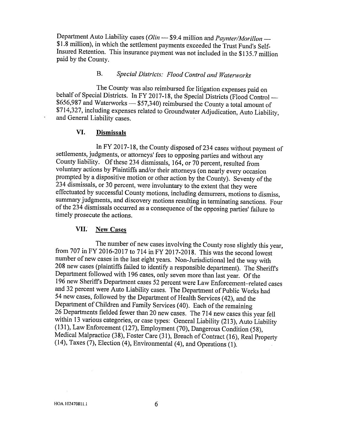Department Auto Liability cases (Olin - \$9.4 million and Paynter/Morillon -\$1.8 million), in which the settlement payments exceeded the Trust Fund's Self-Insured Retention. This insurance payment was not included in the \$135.7 million <sup>p</sup>aid by the County.

# B. Special Districts: Flood Control and Waterworks

<sup>T</sup>he County was also reimbursed for litigation expenses paid on behalf of Special Districts. In FY 2017-18, the Special Districts (Flood Control — \$656,987 and Waterworks — \$57,340) reimbursed the County a total amount of \$714,327, including expenses related to Groundwater Adjudication, Auto Liability, <sup>a</sup>nd General Liability cases.

### VI. Dismissals

<sup>I</sup>n FY 2017-18, the County disposed of 234 cases without payment of <sup>s</sup>ettlements, judgments, or attorneys' fees to opposing parties and without any <sup>C</sup>ounty liability. Of these 234 dismissals, 164, or 70 percent, resulted from <sup>v</sup>oluntary actions by Plaintiffs and/or their attorneys (on nearly every occasion <sup>p</sup>rompted by a diapositive motion or other action by the County). Seventy of the <sup>2</sup>34 dismissals, or 30 percent, were involuntary to the extent that they were <sup>e</sup>ffectuated by successful County motions, including demurrers, motions to dismiss, <sup>s</sup>ummary judgments, and discovery motions resulting in terminating sanctions. Four <sup>o</sup>f the 234 dismissals occurred as a consequence of the opposing parties' failure to <sup>t</sup>imely prosecute the actions.

### VII: New Cases

<sup>T</sup>he number of new cases involving the County rose slightly this yeaz, <sup>f</sup>rom 707 in FY 2016-2017 to 714 in FY 2017-2018. This was the second lowest <sup>n</sup>umber of new cases in the last eight yeazs. Non-Jurisdictional led the way with <sup>2</sup>08 new cases (plaintiffs failed to identify a responsible department). The Sheriffs <sup>D</sup>epartment followed with 196 cases, only seven more than last year. Of the <sup>1</sup>96 new Sheriffs Department cases 52 percent were Law Enforcement—related cases <sup>a</sup>nd 32 percent were Auto Liability cases. The Department of Public Works had <sup>5</sup>4 new cases, followed by the Department of Health Services (42), and the <sup>D</sup>epartrnent of Children and Family Services (40). Each of the remaining 26 Departments fielded fewer than 20 new cases. The 714 new cases this year fell <sup>w</sup>ithin 13 various categories, or case types: General Liability (213), Auto Liability (131), Law Enforcement (127), Employment (70), Dangerous Condition (58), <sup>M</sup>edical Malpractice (38), Foster Care (31), Breach of Contract (16), Real Property (14), Taxes (7), Election (4), Environmental (4), and Operations (1).

 $\sim$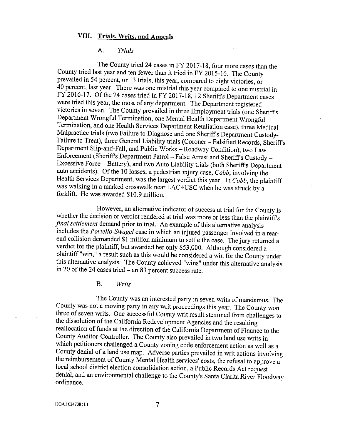### VIII. Trials, Writs, and Appeals

### A. Trials

<sup>T</sup>he County tried 24 cases in FY 2017-18, four more cases than the <sup>C</sup>ounty tried last year and ten fewer than it tried in FY 2015-16. The County <sup>p</sup>revailed in 54 percent, or 13 trials, this year, compared to eight victories, or <sup>4</sup>0 percent, last year. There was one mistrial this year compared to one mistrial in <sup>F</sup>Y 2016-17. Of the 24 cases tried in FY 2017-18, 12 Sheriffs Department cases <sup>w</sup>ere tried this year, the most of any department. The Department registered <sup>v</sup>ictories in seven. The County prevailed in three Employment trials (one Sheriffs <sup>D</sup>epartment Wrongful Termination, one Mental Health Department Wrongful <sup>T</sup>ermination, and one Health Services Department Retaliation case), three Medical <sup>M</sup>alpractice trials (two Failure to Diagnose and one Sheriffs Department Custody-Failure to Treat), three General Liability trials (Coroner —Falsified Records, Sheriffs <sup>D</sup>epartment Slip-and-Fall, and Public Works —Roadway Condition), two Law <sup>E</sup>nforcement (Sheriffs Department Patrol —False Arrest and Sheriffs Custody — Excessive Force —Battery), and two Auto Liability trials (both Sheriffs Department auto accidents). Of the 10 losses, a pedestrian injury case,  $Cobb$ , involving the Health Services Department, was the largest verdict this year. In Cobb, the plaintiff was walking in a marked crosswalk near LAC+USC when he was struck by a forklift. He was awarded \$10.9 million.

<sup>H</sup>owever, an alternative indicator of success at trial for the County is <sup>w</sup>hether the decision or verdict rendered at trial was more or less than the plaintiffs final settlement demand prior to trial. An example of this alternative analysis includes the Portello-Swagel case in which an injured passenger involved in a rearend collision demanded \$1 million minimum to settle the case. The jury returned <sup>a</sup> <sup>v</sup>erdict for the plaintiff, but awarded her only \$53,000. Although considered <sup>a</sup> <sup>p</sup>laintiff "win," a result such as this would be considered a win for the County under <sup>t</sup>his alternative analysis. The County achieved "wins" under this alternative analysis in 20 of the 24 cases tried  $-$  an 83 percent success rate.

B. Writs

<sup>T</sup>he County was an interested party in seven writs of mandamus. The <sup>C</sup>ounty was not a moving party in any writ proceedings this year. The County won <sup>t</sup>hree of seven writs. One successful County writ result stemmed from challenges to <sup>t</sup>he dissolution of the California Redevelopment Agencies and the resulting <sup>r</sup>eallocation of funds at the direction of the California Departrnent of Finance to the <sup>C</sup>ounty Auditor-Controller. The County also prevailed in two land use writs in <sup>w</sup>hich petitioners challenged a County zoning code enforcement action as well as <sup>a</sup> <sup>C</sup>ounty denial of a land use map. Adverse parties prevailed in writ actions involving <sup>t</sup>he reimbursement of County Mental Health services' costs, the refusal to approve <sup>a</sup> local school district election consolidation action, a Public Records Act request <sup>d</sup>enial, and an environmental challenge to the County's Santa Clarita River Floodway <sup>o</sup>rdinance.